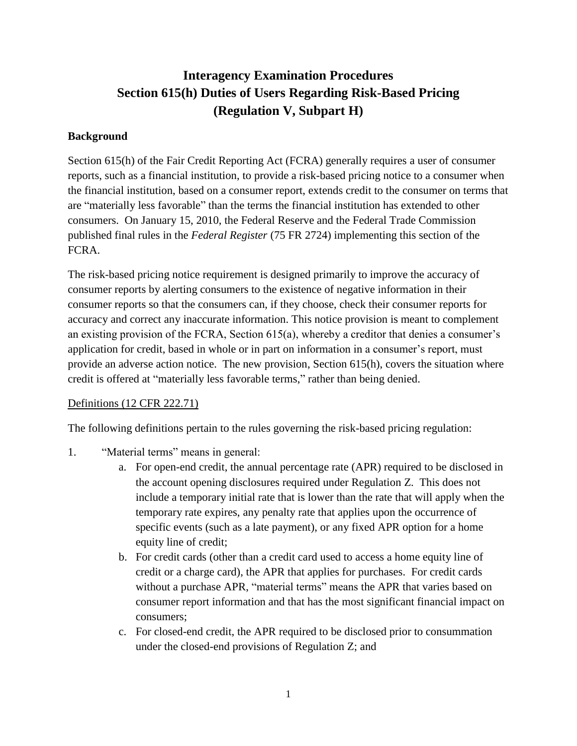# **Interagency Examination Procedures Section 615(h) Duties of Users Regarding Risk-Based Pricing (Regulation V, Subpart H)**

#### **Background**

Section 615(h) of the Fair Credit Reporting Act (FCRA) generally requires a user of consumer reports, such as a financial institution, to provide a risk-based pricing notice to a consumer when the financial institution, based on a consumer report, extends credit to the consumer on terms that are "materially less favorable" than the terms the financial institution has extended to other consumers. On January 15, 2010, the Federal Reserve and the Federal Trade Commission published final rules in the *Federal Register* (75 FR 2724) implementing this section of the FCRA.

The risk-based pricing notice requirement is designed primarily to improve the accuracy of consumer reports by alerting consumers to the existence of negative information in their consumer reports so that the consumers can, if they choose, check their consumer reports for accuracy and correct any inaccurate information. This notice provision is meant to complement an existing provision of the FCRA, Section 615(a), whereby a creditor that denies a consumer's application for credit, based in whole or in part on information in a consumer's report, must provide an adverse action notice. The new provision, Section 615(h), covers the situation where credit is offered at "materially less favorable terms," rather than being denied.

### Definitions (12 CFR 222.71)

The following definitions pertain to the rules governing the risk-based pricing regulation:

- 1. "Material terms" means in general:
	- a. For open-end credit, the annual percentage rate (APR) required to be disclosed in the account opening disclosures required under Regulation Z. This does not include a temporary initial rate that is lower than the rate that will apply when the temporary rate expires, any penalty rate that applies upon the occurrence of specific events (such as a late payment), or any fixed APR option for a home equity line of credit;
	- b. For credit cards (other than a credit card used to access a home equity line of credit or a charge card), the APR that applies for purchases. For credit cards without a purchase APR, "material terms" means the APR that varies based on consumer report information and that has the most significant financial impact on consumers;
	- c. For closed-end credit, the APR required to be disclosed prior to consummation under the closed-end provisions of Regulation Z; and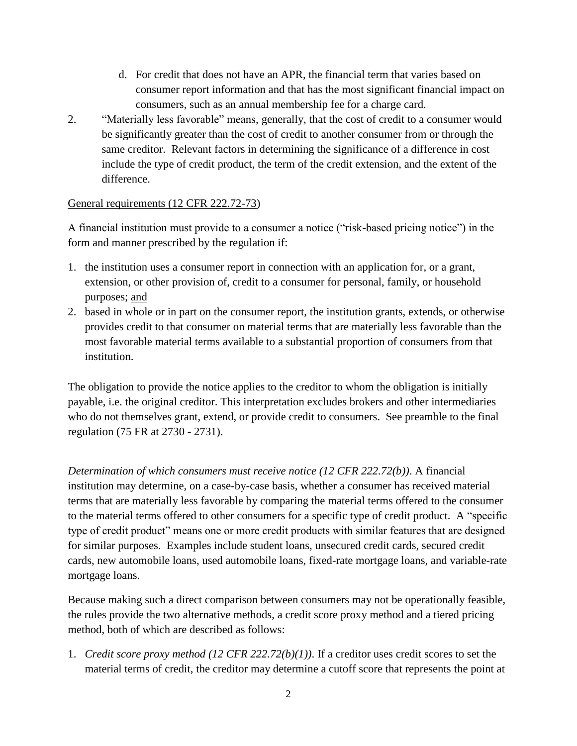- d. For credit that does not have an APR, the financial term that varies based on consumer report information and that has the most significant financial impact on consumers, such as an annual membership fee for a charge card.
- 2. "Materially less favorable" means, generally, that the cost of credit to a consumer would be significantly greater than the cost of credit to another consumer from or through the same creditor. Relevant factors in determining the significance of a difference in cost include the type of credit product, the term of the credit extension, and the extent of the difference.

#### General requirements (12 CFR 222.72-73)

A financial institution must provide to a consumer a notice ("risk-based pricing notice") in the form and manner prescribed by the regulation if:

- 1. the institution uses a consumer report in connection with an application for, or a grant, extension, or other provision of, credit to a consumer for personal, family, or household purposes; and
- 2. based in whole or in part on the consumer report, the institution grants, extends, or otherwise provides credit to that consumer on material terms that are materially less favorable than the most favorable material terms available to a substantial proportion of consumers from that institution.

The obligation to provide the notice applies to the creditor to whom the obligation is initially payable, i.e. the original creditor. This interpretation excludes brokers and other intermediaries who do not themselves grant, extend, or provide credit to consumers. See preamble to the final regulation (75 FR at 2730 - 2731).

*Determination of which consumers must receive notice (12 CFR 222.72(b))*. A financial institution may determine, on a case-by-case basis, whether a consumer has received material terms that are materially less favorable by comparing the material terms offered to the consumer to the material terms offered to other consumers for a specific type of credit product. A "specific type of credit product" means one or more credit products with similar features that are designed for similar purposes. Examples include student loans, unsecured credit cards, secured credit cards, new automobile loans, used automobile loans, fixed-rate mortgage loans, and variable-rate mortgage loans.

Because making such a direct comparison between consumers may not be operationally feasible, the rules provide the two alternative methods, a credit score proxy method and a tiered pricing method, both of which are described as follows:

1. *Credit score proxy method (12 CFR 222.72(b)(1))*. If a creditor uses credit scores to set the material terms of credit, the creditor may determine a cutoff score that represents the point at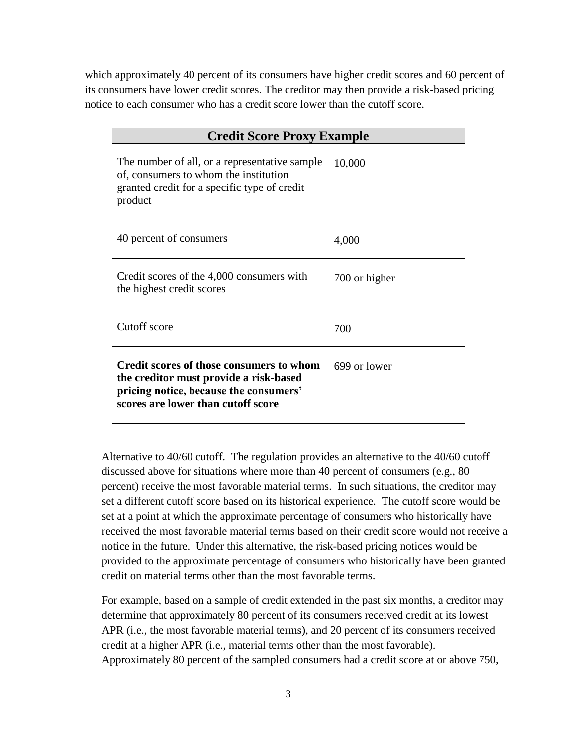which approximately 40 percent of its consumers have higher credit scores and 60 percent of its consumers have lower credit scores. The creditor may then provide a risk-based pricing notice to each consumer who has a credit score lower than the cutoff score.

| <b>Credit Score Proxy Example</b>                                                                                                                                  |               |  |
|--------------------------------------------------------------------------------------------------------------------------------------------------------------------|---------------|--|
| The number of all, or a representative sample<br>of, consumers to whom the institution<br>granted credit for a specific type of credit<br>product                  | 10,000        |  |
| 40 percent of consumers                                                                                                                                            | 4,000         |  |
| Credit scores of the 4,000 consumers with<br>the highest credit scores                                                                                             | 700 or higher |  |
| Cutoff score                                                                                                                                                       | 700           |  |
| Credit scores of those consumers to whom<br>the creditor must provide a risk-based<br>pricing notice, because the consumers'<br>scores are lower than cutoff score | 699 or lower  |  |

Alternative to 40/60 cutoff.The regulation provides an alternative to the 40/60 cutoff discussed above for situations where more than 40 percent of consumers (e.g., 80 percent) receive the most favorable material terms. In such situations, the creditor may set a different cutoff score based on its historical experience. The cutoff score would be set at a point at which the approximate percentage of consumers who historically have received the most favorable material terms based on their credit score would not receive a notice in the future. Under this alternative, the risk-based pricing notices would be provided to the approximate percentage of consumers who historically have been granted credit on material terms other than the most favorable terms.

For example, based on a sample of credit extended in the past six months, a creditor may determine that approximately 80 percent of its consumers received credit at its lowest APR (i.e., the most favorable material terms), and 20 percent of its consumers received credit at a higher APR (i.e., material terms other than the most favorable). Approximately 80 percent of the sampled consumers had a credit score at or above 750,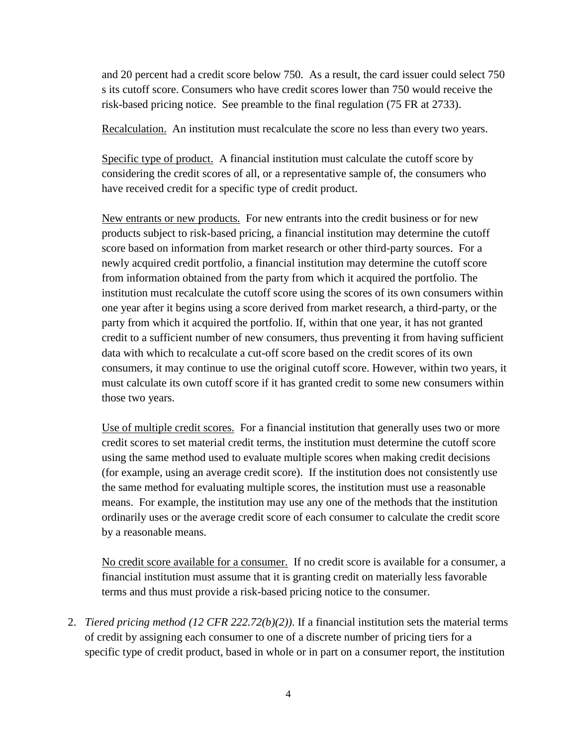and 20 percent had a credit score below 750. As a result, the card issuer could select 750 s its cutoff score. Consumers who have credit scores lower than 750 would receive the risk-based pricing notice. See preamble to the final regulation (75 FR at 2733).

Recalculation. An institution must recalculate the score no less than every two years.

Specific type of product. A financial institution must calculate the cutoff score by considering the credit scores of all, or a representative sample of, the consumers who have received credit for a specific type of credit product.

New entrants or new products. For new entrants into the credit business or for new products subject to risk-based pricing, a financial institution may determine the cutoff score based on information from market research or other third-party sources. For a newly acquired credit portfolio, a financial institution may determine the cutoff score from information obtained from the party from which it acquired the portfolio. The institution must recalculate the cutoff score using the scores of its own consumers within one year after it begins using a score derived from market research, a third-party, or the party from which it acquired the portfolio. If, within that one year, it has not granted credit to a sufficient number of new consumers, thus preventing it from having sufficient data with which to recalculate a cut-off score based on the credit scores of its own consumers, it may continue to use the original cutoff score. However, within two years, it must calculate its own cutoff score if it has granted credit to some new consumers within those two years.

Use of multiple credit scores. For a financial institution that generally uses two or more credit scores to set material credit terms, the institution must determine the cutoff score using the same method used to evaluate multiple scores when making credit decisions (for example, using an average credit score). If the institution does not consistently use the same method for evaluating multiple scores, the institution must use a reasonable means. For example, the institution may use any one of the methods that the institution ordinarily uses or the average credit score of each consumer to calculate the credit score by a reasonable means.

No credit score available for a consumer. If no credit score is available for a consumer, a financial institution must assume that it is granting credit on materially less favorable terms and thus must provide a risk-based pricing notice to the consumer.

2. *Tiered pricing method (12 CFR 222.72(b)(2))*. If a financial institution sets the material terms of credit by assigning each consumer to one of a discrete number of pricing tiers for a specific type of credit product, based in whole or in part on a consumer report, the institution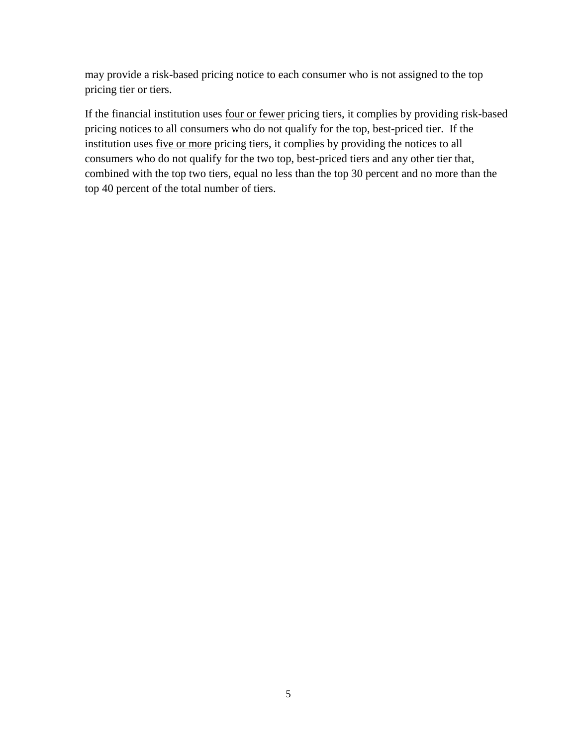may provide a risk-based pricing notice to each consumer who is not assigned to the top pricing tier or tiers.

If the financial institution uses four or fewer pricing tiers, it complies by providing risk-based pricing notices to all consumers who do not qualify for the top, best-priced tier. If the institution uses five or more pricing tiers, it complies by providing the notices to all consumers who do not qualify for the two top, best-priced tiers and any other tier that, combined with the top two tiers, equal no less than the top 30 percent and no more than the top 40 percent of the total number of tiers.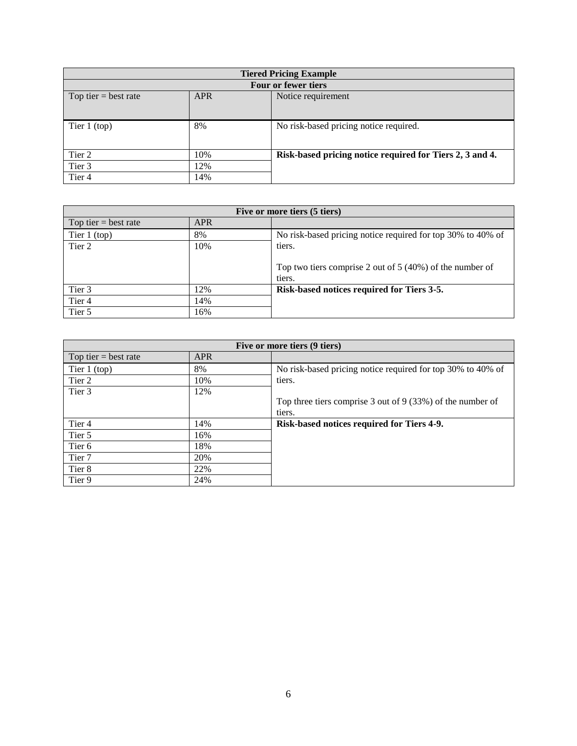| <b>Tiered Pricing Example</b> |            |                                                          |  |  |
|-------------------------------|------------|----------------------------------------------------------|--|--|
| Four or fewer tiers           |            |                                                          |  |  |
| Top tier $=$ best rate        | <b>APR</b> | Notice requirement                                       |  |  |
| Tier $1$ (top)                | 8%         | No risk-based pricing notice required.                   |  |  |
| Tier 2                        | 10%        | Risk-based pricing notice required for Tiers 2, 3 and 4. |  |  |
| Tier 3                        | 12%        |                                                          |  |  |
| Tier <sub>4</sub>             | 14%        |                                                          |  |  |

| Five or more tiers (5 tiers) |            |                                                             |  |
|------------------------------|------------|-------------------------------------------------------------|--|
| Top tier = best rate         | <b>APR</b> |                                                             |  |
| Tier $1$ (top)               | 8%         | No risk-based pricing notice required for top 30% to 40% of |  |
| Tier 2                       | 10%        | tiers.                                                      |  |
|                              |            |                                                             |  |
|                              |            | Top two tiers comprise 2 out of $5(40%)$ of the number of   |  |
|                              |            | tiers.                                                      |  |
| Tier 3                       | 12%        | Risk-based notices required for Tiers 3-5.                  |  |
| Tier <sub>4</sub>            | 14%        |                                                             |  |
| Tier 5                       | 16%        |                                                             |  |

| Five or more tiers (9 tiers) |            |                                                              |  |
|------------------------------|------------|--------------------------------------------------------------|--|
| Top tier $=$ best rate       | <b>APR</b> |                                                              |  |
| Tier $1$ (top)               | 8%         | No risk-based pricing notice required for top 30% to 40% of  |  |
| Tier 2                       | 10%        | tiers.                                                       |  |
| Tier 3                       | 12%        |                                                              |  |
|                              |            | Top three tiers comprise 3 out of 9 $(33%)$ of the number of |  |
|                              |            | tiers.                                                       |  |
| Tier 4                       | 14%        | Risk-based notices required for Tiers 4-9.                   |  |
| Tier 5                       | 16%        |                                                              |  |
| Tier 6                       | 18%        |                                                              |  |
| Tier <sub>7</sub>            | 20%        |                                                              |  |
| Tier 8                       | 22%        |                                                              |  |
| Tier 9                       | 24%        |                                                              |  |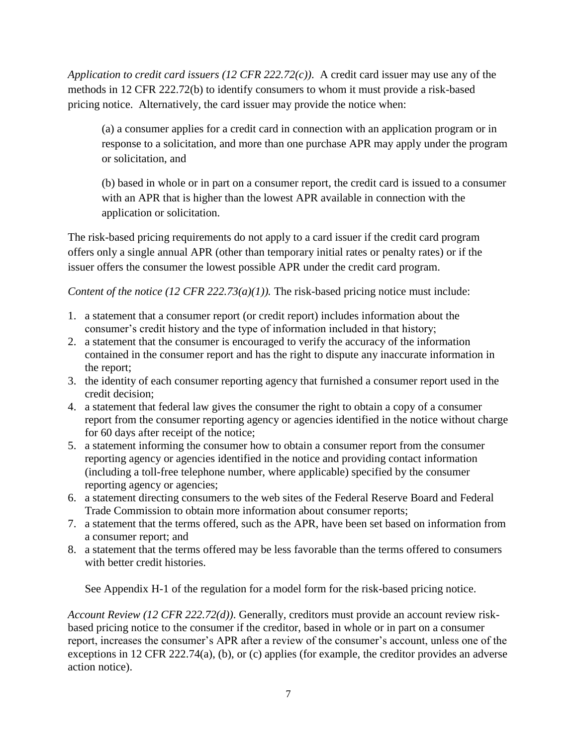*Application to credit card issuers (12 CFR 222.72(c))*. A credit card issuer may use any of the methods in 12 CFR 222.72(b) to identify consumers to whom it must provide a risk-based pricing notice. Alternatively, the card issuer may provide the notice when:

(a) a consumer applies for a credit card in connection with an application program or in response to a solicitation, and more than one purchase APR may apply under the program or solicitation, and

(b) based in whole or in part on a consumer report, the credit card is issued to a consumer with an APR that is higher than the lowest APR available in connection with the application or solicitation.

The risk-based pricing requirements do not apply to a card issuer if the credit card program offers only a single annual APR (other than temporary initial rates or penalty rates) or if the issuer offers the consumer the lowest possible APR under the credit card program.

*Content of the notice (12 CFR 222.73(a)(1)).* The risk-based pricing notice must include:

- 1. a statement that a consumer report (or credit report) includes information about the consumer's credit history and the type of information included in that history;
- 2. a statement that the consumer is encouraged to verify the accuracy of the information contained in the consumer report and has the right to dispute any inaccurate information in the report;
- 3. the identity of each consumer reporting agency that furnished a consumer report used in the credit decision;
- 4. a statement that federal law gives the consumer the right to obtain a copy of a consumer report from the consumer reporting agency or agencies identified in the notice without charge for 60 days after receipt of the notice;
- 5. a statement informing the consumer how to obtain a consumer report from the consumer reporting agency or agencies identified in the notice and providing contact information (including a toll-free telephone number, where applicable) specified by the consumer reporting agency or agencies;
- 6. a statement directing consumers to the web sites of the Federal Reserve Board and Federal Trade Commission to obtain more information about consumer reports;
- 7. a statement that the terms offered, such as the APR, have been set based on information from a consumer report; and
- 8. a statement that the terms offered may be less favorable than the terms offered to consumers with better credit histories.

See Appendix H-1 of the regulation for a model form for the risk-based pricing notice.

*Account Review (12 CFR 222.72(d))*. Generally, creditors must provide an account review riskbased pricing notice to the consumer if the creditor, based in whole or in part on a consumer report, increases the consumer's APR after a review of the consumer's account, unless one of the exceptions in 12 CFR 222.74(a), (b), or (c) applies (for example, the creditor provides an adverse action notice).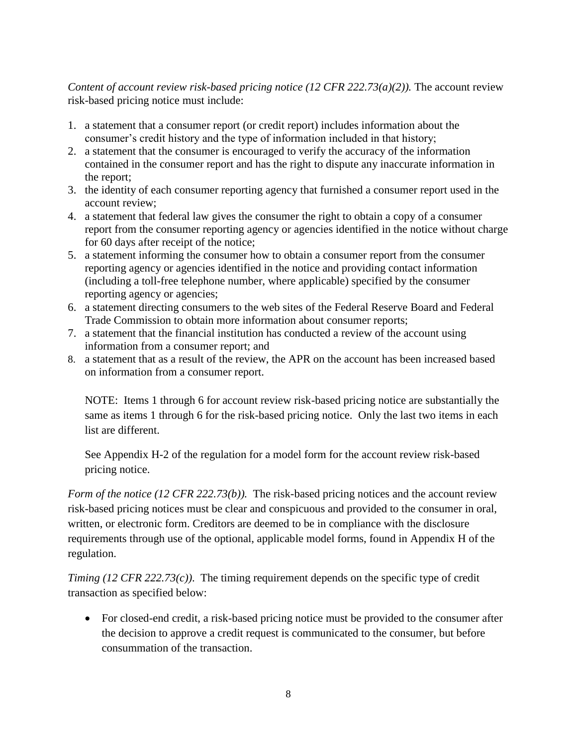*Content of account review risk-based pricing notice (12 CFR 222.73(a)(2)).* The account review risk-based pricing notice must include:

- 1. a statement that a consumer report (or credit report) includes information about the consumer's credit history and the type of information included in that history;
- 2. a statement that the consumer is encouraged to verify the accuracy of the information contained in the consumer report and has the right to dispute any inaccurate information in the report;
- 3. the identity of each consumer reporting agency that furnished a consumer report used in the account review;
- 4. a statement that federal law gives the consumer the right to obtain a copy of a consumer report from the consumer reporting agency or agencies identified in the notice without charge for 60 days after receipt of the notice;
- 5. a statement informing the consumer how to obtain a consumer report from the consumer reporting agency or agencies identified in the notice and providing contact information (including a toll-free telephone number, where applicable) specified by the consumer reporting agency or agencies;
- 6. a statement directing consumers to the web sites of the Federal Reserve Board and Federal Trade Commission to obtain more information about consumer reports;
- 7. a statement that the financial institution has conducted a review of the account using information from a consumer report; and
- 8. a statement that as a result of the review, the APR on the account has been increased based on information from a consumer report.

NOTE: Items 1 through 6 for account review risk-based pricing notice are substantially the same as items 1 through 6 for the risk-based pricing notice. Only the last two items in each list are different.

See Appendix H-2 of the regulation for a model form for the account review risk-based pricing notice.

*Form of the notice (12 CFR 222.73(b)).* The risk-based pricing notices and the account review risk-based pricing notices must be clear and conspicuous and provided to the consumer in oral, written, or electronic form. Creditors are deemed to be in compliance with the disclosure requirements through use of the optional, applicable model forms, found in Appendix H of the regulation.

*Timing (12 CFR 222.73(c))*. The timing requirement depends on the specific type of credit transaction as specified below:

 For closed-end credit, a risk-based pricing notice must be provided to the consumer after the decision to approve a credit request is communicated to the consumer, but before consummation of the transaction.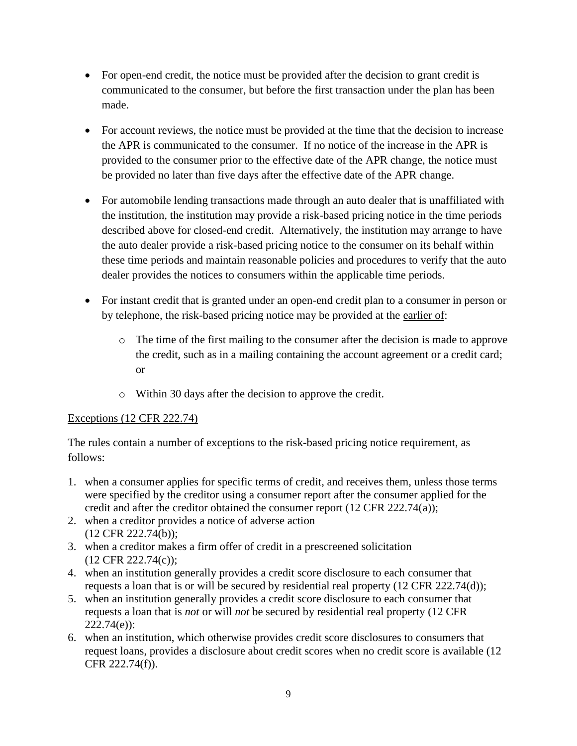- For open-end credit, the notice must be provided after the decision to grant credit is communicated to the consumer, but before the first transaction under the plan has been made.
- For account reviews, the notice must be provided at the time that the decision to increase the APR is communicated to the consumer. If no notice of the increase in the APR is provided to the consumer prior to the effective date of the APR change, the notice must be provided no later than five days after the effective date of the APR change.
- For automobile lending transactions made through an auto dealer that is unaffiliated with the institution, the institution may provide a risk-based pricing notice in the time periods described above for closed-end credit. Alternatively, the institution may arrange to have the auto dealer provide a risk-based pricing notice to the consumer on its behalf within these time periods and maintain reasonable policies and procedures to verify that the auto dealer provides the notices to consumers within the applicable time periods.
- For instant credit that is granted under an open-end credit plan to a consumer in person or by telephone, the risk-based pricing notice may be provided at the earlier of:
	- o The time of the first mailing to the consumer after the decision is made to approve the credit, such as in a mailing containing the account agreement or a credit card; or
	- o Within 30 days after the decision to approve the credit.

### Exceptions (12 CFR 222.74)

The rules contain a number of exceptions to the risk-based pricing notice requirement, as follows:

- 1. when a consumer applies for specific terms of credit, and receives them, unless those terms were specified by the creditor using a consumer report after the consumer applied for the credit and after the creditor obtained the consumer report (12 CFR 222.74(a));
- 2. when a creditor provides a notice of adverse action (12 CFR 222.74(b));
- 3. when a creditor makes a firm offer of credit in a prescreened solicitation (12 CFR 222.74(c));
- 4. when an institution generally provides a credit score disclosure to each consumer that requests a loan that is or will be secured by residential real property (12 CFR 222.74(d));
- 5. when an institution generally provides a credit score disclosure to each consumer that requests a loan that is *not* or will *not* be secured by residential real property (12 CFR 222.74(e)):
- 6. when an institution, which otherwise provides credit score disclosures to consumers that request loans, provides a disclosure about credit scores when no credit score is available (12 CFR 222.74(f)).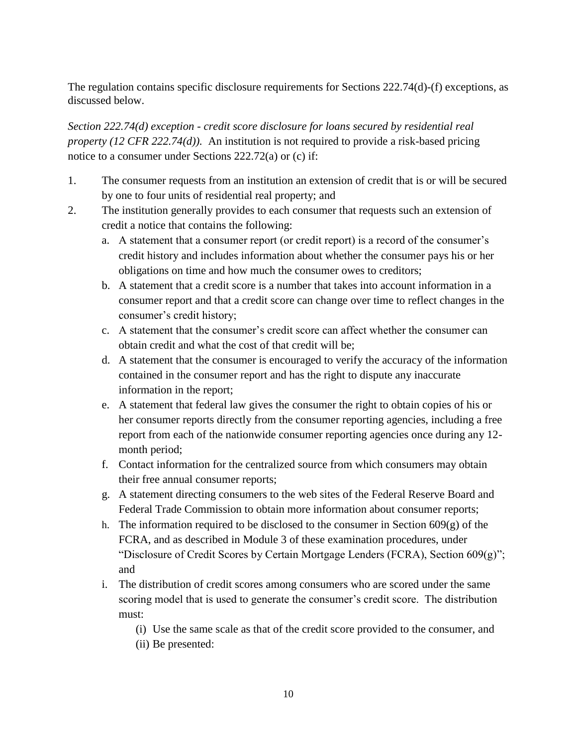The regulation contains specific disclosure requirements for Sections 222.74(d)-(f) exceptions, as discussed below.

*Section 222.74(d) exception - credit score disclosure for loans secured by residential real property (12 CFR 222.74(d)).* An institution is not required to provide a risk-based pricing notice to a consumer under Sections 222.72(a) or (c) if:

- 1. The consumer requests from an institution an extension of credit that is or will be secured by one to four units of residential real property; and
- 2. The institution generally provides to each consumer that requests such an extension of credit a notice that contains the following:
	- a. A statement that a consumer report (or credit report) is a record of the consumer's credit history and includes information about whether the consumer pays his or her obligations on time and how much the consumer owes to creditors;
	- b. A statement that a credit score is a number that takes into account information in a consumer report and that a credit score can change over time to reflect changes in the consumer's credit history;
	- c. A statement that the consumer's credit score can affect whether the consumer can obtain credit and what the cost of that credit will be;
	- d. A statement that the consumer is encouraged to verify the accuracy of the information contained in the consumer report and has the right to dispute any inaccurate information in the report;
	- e. A statement that federal law gives the consumer the right to obtain copies of his or her consumer reports directly from the consumer reporting agencies, including a free report from each of the nationwide consumer reporting agencies once during any 12 month period;
	- f. Contact information for the centralized source from which consumers may obtain their free annual consumer reports;
	- g. A statement directing consumers to the web sites of the Federal Reserve Board and Federal Trade Commission to obtain more information about consumer reports;
	- h. The information required to be disclosed to the consumer in Section  $609(g)$  of the FCRA, and as described in Module 3 of these examination procedures, under "Disclosure of Credit Scores by Certain Mortgage Lenders (FCRA), Section 609(g)"; and
	- i. The distribution of credit scores among consumers who are scored under the same scoring model that is used to generate the consumer's credit score. The distribution must:

(i) Use the same scale as that of the credit score provided to the consumer, and

(ii) Be presented: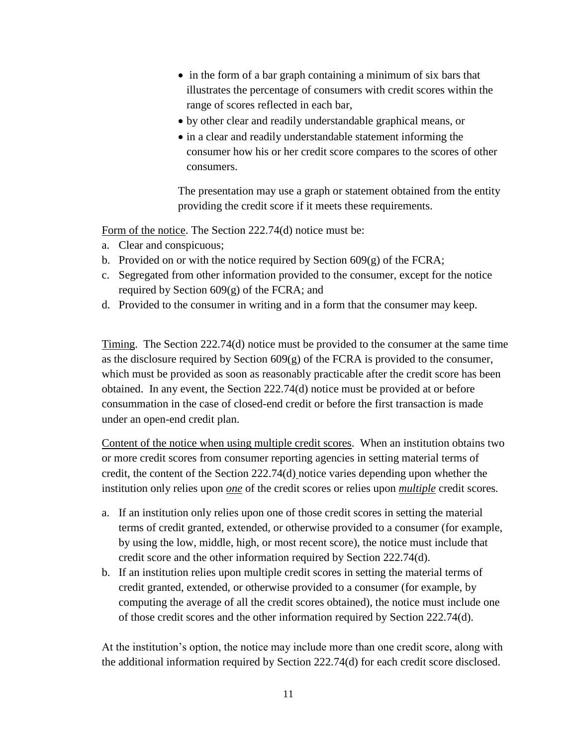- in the form of a bar graph containing a minimum of six bars that illustrates the percentage of consumers with credit scores within the range of scores reflected in each bar,
- by other clear and readily understandable graphical means, or
- in a clear and readily understandable statement informing the consumer how his or her credit score compares to the scores of other consumers.

The presentation may use a graph or statement obtained from the entity providing the credit score if it meets these requirements.

Form of the notice. The Section 222.74(d) notice must be:

- a. Clear and conspicuous;
- b. Provided on or with the notice required by Section  $609(g)$  of the FCRA;
- c. Segregated from other information provided to the consumer, except for the notice required by Section 609(g) of the FCRA; and
- d. Provided to the consumer in writing and in a form that the consumer may keep.

Timing. The Section 222.74(d) notice must be provided to the consumer at the same time as the disclosure required by Section  $609(g)$  of the FCRA is provided to the consumer, which must be provided as soon as reasonably practicable after the credit score has been obtained. In any event, the Section 222.74(d) notice must be provided at or before consummation in the case of closed-end credit or before the first transaction is made under an open-end credit plan.

Content of the notice when using multiple credit scores. When an institution obtains two or more credit scores from consumer reporting agencies in setting material terms of credit, the content of the Section 222.74(d) notice varies depending upon whether the institution only relies upon *one* of the credit scores or relies upon *multiple* credit scores*.* 

- a. If an institution only relies upon one of those credit scores in setting the material terms of credit granted, extended, or otherwise provided to a consumer (for example, by using the low, middle, high, or most recent score), the notice must include that credit score and the other information required by Section 222.74(d).
- b. If an institution relies upon multiple credit scores in setting the material terms of credit granted, extended, or otherwise provided to a consumer (for example, by computing the average of all the credit scores obtained), the notice must include one of those credit scores and the other information required by Section 222.74(d).

At the institution's option, the notice may include more than one credit score, along with the additional information required by Section 222.74(d) for each credit score disclosed.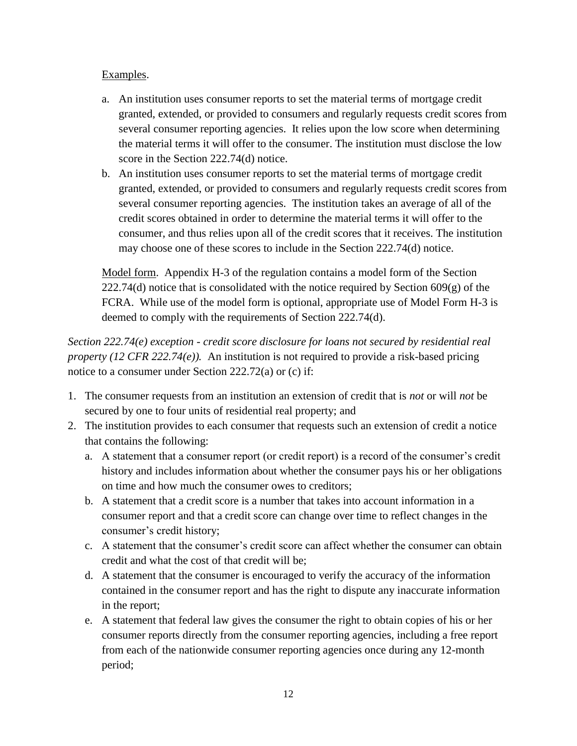### Examples.

- a. An institution uses consumer reports to set the material terms of mortgage credit granted, extended, or provided to consumers and regularly requests credit scores from several consumer reporting agencies. It relies upon the low score when determining the material terms it will offer to the consumer. The institution must disclose the low score in the Section 222.74(d) notice.
- b. An institution uses consumer reports to set the material terms of mortgage credit granted, extended, or provided to consumers and regularly requests credit scores from several consumer reporting agencies. The institution takes an average of all of the credit scores obtained in order to determine the material terms it will offer to the consumer, and thus relies upon all of the credit scores that it receives. The institution may choose one of these scores to include in the Section 222.74(d) notice.

Model form. Appendix H-3 of the regulation contains a model form of the Section  $222.74(d)$  notice that is consolidated with the notice required by Section 609(g) of the FCRA. While use of the model form is optional, appropriate use of Model Form H-3 is deemed to comply with the requirements of Section 222.74(d).

*Section 222.74(e) exception - credit score disclosure for loans not secured by residential real property (12 CFR 222.74(e)).* An institution is not required to provide a risk-based pricing notice to a consumer under Section 222.72(a) or (c) if:

- 1. The consumer requests from an institution an extension of credit that is *not* or will *not* be secured by one to four units of residential real property; and
- 2. The institution provides to each consumer that requests such an extension of credit a notice that contains the following:
	- a. A statement that a consumer report (or credit report) is a record of the consumer's credit history and includes information about whether the consumer pays his or her obligations on time and how much the consumer owes to creditors;
	- b. A statement that a credit score is a number that takes into account information in a consumer report and that a credit score can change over time to reflect changes in the consumer's credit history;
	- c. A statement that the consumer's credit score can affect whether the consumer can obtain credit and what the cost of that credit will be;
	- d. A statement that the consumer is encouraged to verify the accuracy of the information contained in the consumer report and has the right to dispute any inaccurate information in the report;
	- e. A statement that federal law gives the consumer the right to obtain copies of his or her consumer reports directly from the consumer reporting agencies, including a free report from each of the nationwide consumer reporting agencies once during any 12-month period;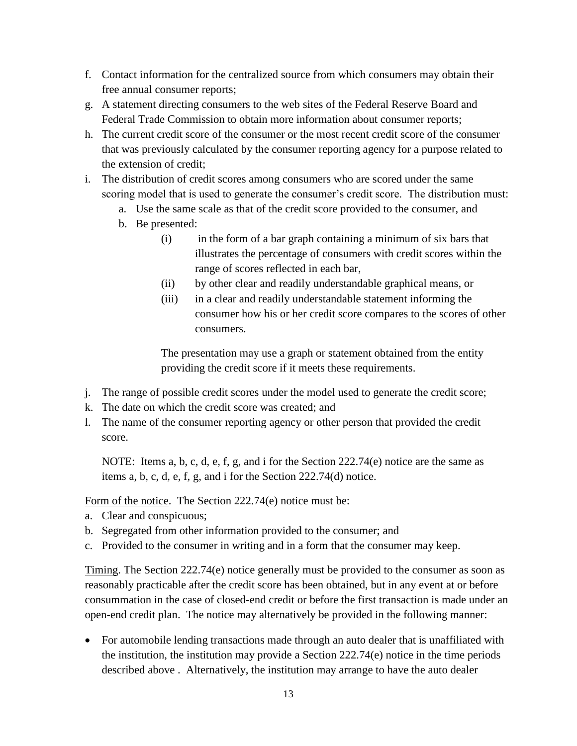- f. Contact information for the centralized source from which consumers may obtain their free annual consumer reports;
- g. A statement directing consumers to the web sites of the Federal Reserve Board and Federal Trade Commission to obtain more information about consumer reports;
- h. The current credit score of the consumer or the most recent credit score of the consumer that was previously calculated by the consumer reporting agency for a purpose related to the extension of credit;
- i. The distribution of credit scores among consumers who are scored under the same scoring model that is used to generate the consumer's credit score. The distribution must:
	- a. Use the same scale as that of the credit score provided to the consumer, and
	- b. Be presented:
		- (i) in the form of a bar graph containing a minimum of six bars that illustrates the percentage of consumers with credit scores within the range of scores reflected in each bar,
		- (ii) by other clear and readily understandable graphical means, or
		- (iii) in a clear and readily understandable statement informing the consumer how his or her credit score compares to the scores of other consumers.

The presentation may use a graph or statement obtained from the entity providing the credit score if it meets these requirements.

- j. The range of possible credit scores under the model used to generate the credit score;
- k. The date on which the credit score was created; and
- l. The name of the consumer reporting agency or other person that provided the credit score.

NOTE: Items a, b, c, d, e, f, g, and i for the Section 222.74(e) notice are the same as items a, b, c, d, e, f, g, and i for the Section 222.74(d) notice.

Form of the notice. The Section 222.74(e) notice must be:

- a. Clear and conspicuous;
- b. Segregated from other information provided to the consumer; and
- c. Provided to the consumer in writing and in a form that the consumer may keep.

Timing. The Section 222.74(e) notice generally must be provided to the consumer as soon as reasonably practicable after the credit score has been obtained, but in any event at or before consummation in the case of closed-end credit or before the first transaction is made under an open-end credit plan. The notice may alternatively be provided in the following manner:

• For automobile lending transactions made through an auto dealer that is unaffiliated with the institution, the institution may provide a Section 222.74(e) notice in the time periods described above . Alternatively, the institution may arrange to have the auto dealer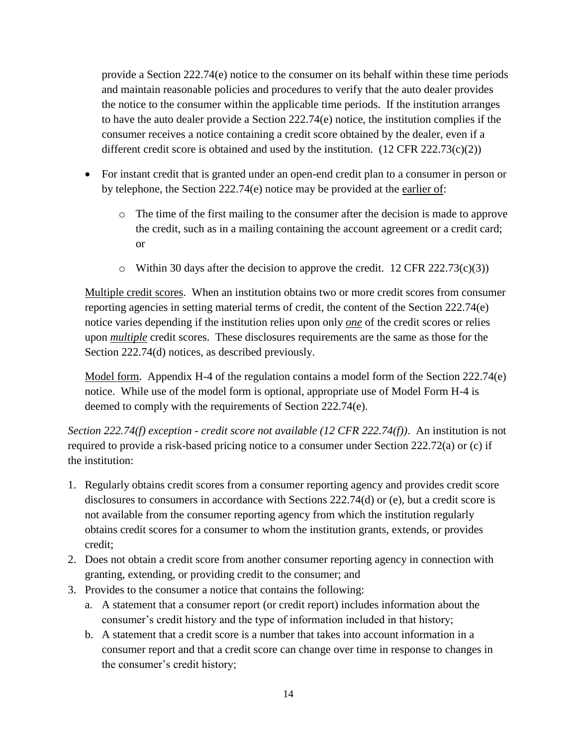provide a Section 222.74(e) notice to the consumer on its behalf within these time periods and maintain reasonable policies and procedures to verify that the auto dealer provides the notice to the consumer within the applicable time periods. If the institution arranges to have the auto dealer provide a Section 222.74(e) notice, the institution complies if the consumer receives a notice containing a credit score obtained by the dealer, even if a different credit score is obtained and used by the institution.  $(12 \text{ CFR } 222.73(c)(2))$ 

- For instant credit that is granted under an open-end credit plan to a consumer in person or by telephone, the Section 222.74(e) notice may be provided at the earlier of:
	- o The time of the first mailing to the consumer after the decision is made to approve the credit, such as in a mailing containing the account agreement or a credit card; or
	- $\circ$  Within 30 days after the decision to approve the credit. 12 CFR 222.73(c)(3))

Multiple credit scores. When an institution obtains two or more credit scores from consumer reporting agencies in setting material terms of credit, the content of the Section 222.74(e) notice varies depending if the institution relies upon only *one* of the credit scores or relies upon *multiple* credit scores. These disclosures requirements are the same as those for the Section 222.74(d) notices, as described previously.

Model form. Appendix H-4 of the regulation contains a model form of the Section 222.74(e) notice. While use of the model form is optional, appropriate use of Model Form H-4 is deemed to comply with the requirements of Section 222.74(e).

*Section 222.74(f) exception - credit score not available (12 CFR 222.74(f))*. An institution is not required to provide a risk-based pricing notice to a consumer under Section 222.72(a) or (c) if the institution:

- 1. Regularly obtains credit scores from a consumer reporting agency and provides credit score disclosures to consumers in accordance with Sections 222.74(d) or (e), but a credit score is not available from the consumer reporting agency from which the institution regularly obtains credit scores for a consumer to whom the institution grants, extends, or provides credit;
- 2. Does not obtain a credit score from another consumer reporting agency in connection with granting, extending, or providing credit to the consumer; and
- 3. Provides to the consumer a notice that contains the following:
	- a. A statement that a consumer report (or credit report) includes information about the consumer's credit history and the type of information included in that history;
	- b. A statement that a credit score is a number that takes into account information in a consumer report and that a credit score can change over time in response to changes in the consumer's credit history;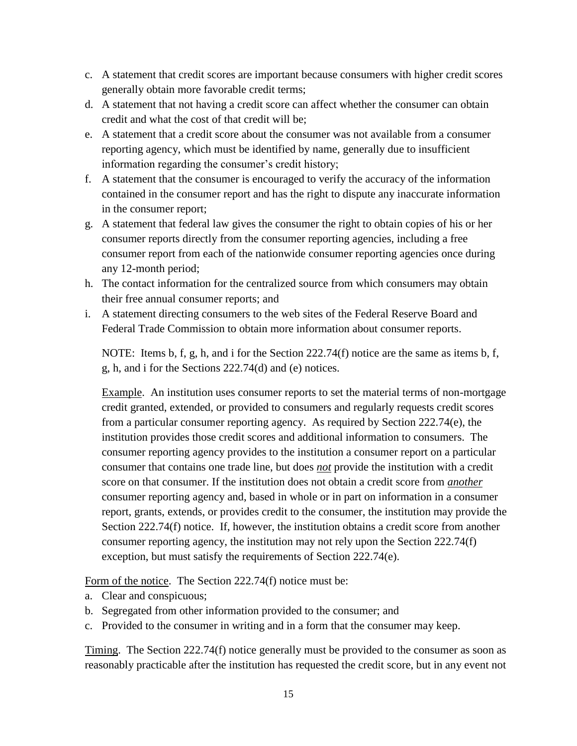- c. A statement that credit scores are important because consumers with higher credit scores generally obtain more favorable credit terms;
- d. A statement that not having a credit score can affect whether the consumer can obtain credit and what the cost of that credit will be;
- e. A statement that a credit score about the consumer was not available from a consumer reporting agency, which must be identified by name, generally due to insufficient information regarding the consumer's credit history;
- f. A statement that the consumer is encouraged to verify the accuracy of the information contained in the consumer report and has the right to dispute any inaccurate information in the consumer report;
- g. A statement that federal law gives the consumer the right to obtain copies of his or her consumer reports directly from the consumer reporting agencies, including a free consumer report from each of the nationwide consumer reporting agencies once during any 12-month period;
- h. The contact information for the centralized source from which consumers may obtain their free annual consumer reports; and
- i. A statement directing consumers to the web sites of the Federal Reserve Board and Federal Trade Commission to obtain more information about consumer reports.

NOTE: Items b, f, g, h, and i for the Section  $222.74(f)$  notice are the same as items b, f, g, h, and i for the Sections 222.74(d) and (e) notices.

Example. An institution uses consumer reports to set the material terms of non-mortgage credit granted, extended, or provided to consumers and regularly requests credit scores from a particular consumer reporting agency. As required by Section 222.74(e), the institution provides those credit scores and additional information to consumers. The consumer reporting agency provides to the institution a consumer report on a particular consumer that contains one trade line, but does *not* provide the institution with a credit score on that consumer. If the institution does not obtain a credit score from *another* consumer reporting agency and, based in whole or in part on information in a consumer report, grants, extends, or provides credit to the consumer, the institution may provide the Section 222.74(f) notice. If, however, the institution obtains a credit score from another consumer reporting agency, the institution may not rely upon the Section 222.74(f) exception, but must satisfy the requirements of Section 222.74(e).

Form of the notice. The Section 222.74(f) notice must be:

- a. Clear and conspicuous;
- b. Segregated from other information provided to the consumer; and
- c. Provided to the consumer in writing and in a form that the consumer may keep.

Timing. The Section 222.74(f) notice generally must be provided to the consumer as soon as reasonably practicable after the institution has requested the credit score, but in any event not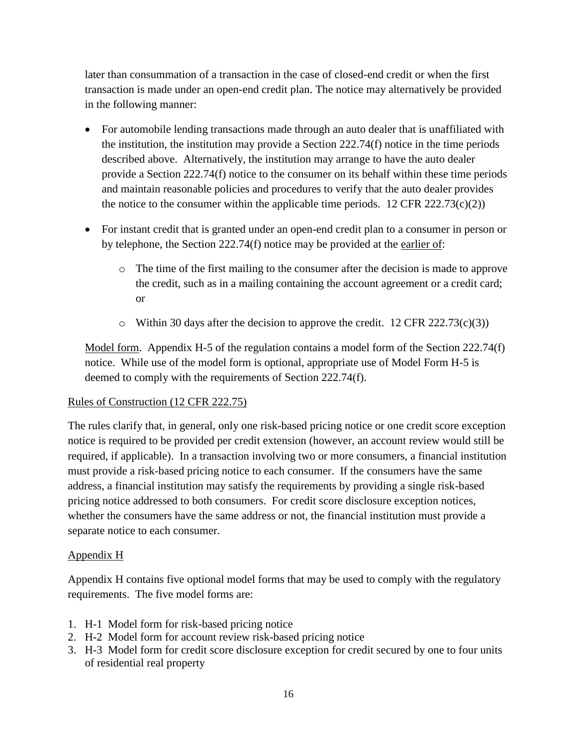later than consummation of a transaction in the case of closed-end credit or when the first transaction is made under an open-end credit plan. The notice may alternatively be provided in the following manner:

- For automobile lending transactions made through an auto dealer that is unaffiliated with the institution, the institution may provide a Section 222.74(f) notice in the time periods described above. Alternatively, the institution may arrange to have the auto dealer provide a Section 222.74(f) notice to the consumer on its behalf within these time periods and maintain reasonable policies and procedures to verify that the auto dealer provides the notice to the consumer within the applicable time periods.  $12 \text{ CFR } 222.73(c)(2)$
- For instant credit that is granted under an open-end credit plan to a consumer in person or by telephone, the Section 222.74(f) notice may be provided at the earlier of:
	- o The time of the first mailing to the consumer after the decision is made to approve the credit, such as in a mailing containing the account agreement or a credit card; or
	- $\circ$  Within 30 days after the decision to approve the credit. 12 CFR 222.73(c)(3))

Model form. Appendix H-5 of the regulation contains a model form of the Section 222.74(f) notice. While use of the model form is optional, appropriate use of Model Form H-5 is deemed to comply with the requirements of Section 222.74(f).

### Rules of Construction (12 CFR 222.75)

The rules clarify that, in general, only one risk-based pricing notice or one credit score exception notice is required to be provided per credit extension (however, an account review would still be required, if applicable). In a transaction involving two or more consumers, a financial institution must provide a risk-based pricing notice to each consumer. If the consumers have the same address, a financial institution may satisfy the requirements by providing a single risk-based pricing notice addressed to both consumers. For credit score disclosure exception notices, whether the consumers have the same address or not, the financial institution must provide a separate notice to each consumer.

### Appendix H

Appendix H contains five optional model forms that may be used to comply with the regulatory requirements. The five model forms are:

- 1. H-1 Model form for risk-based pricing notice
- 2. H-2 Model form for account review risk-based pricing notice
- 3. H-3 Model form for credit score disclosure exception for credit secured by one to four units of residential real property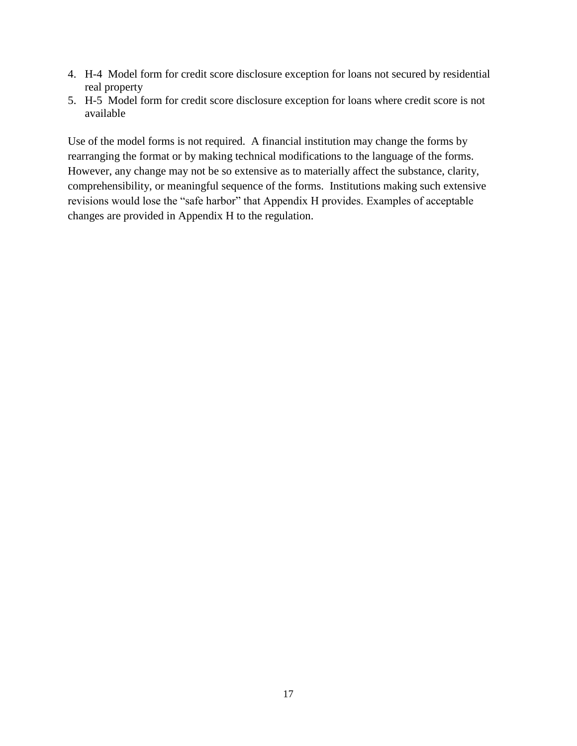- 4. H-4 Model form for credit score disclosure exception for loans not secured by residential real property
- 5. H-5 Model form for credit score disclosure exception for loans where credit score is not available

Use of the model forms is not required. A financial institution may change the forms by rearranging the format or by making technical modifications to the language of the forms. However, any change may not be so extensive as to materially affect the substance, clarity, comprehensibility, or meaningful sequence of the forms. Institutions making such extensive revisions would lose the "safe harbor" that Appendix H provides. Examples of acceptable changes are provided in Appendix H to the regulation.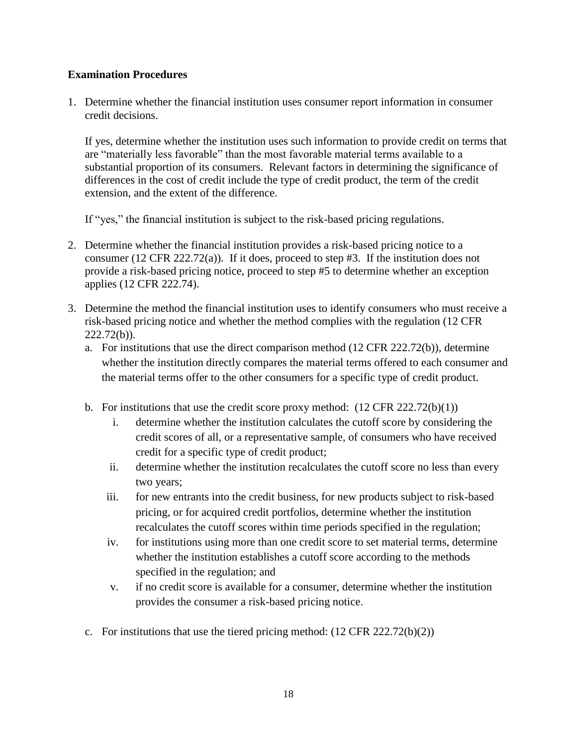#### **Examination Procedures**

1. Determine whether the financial institution uses consumer report information in consumer credit decisions.

If yes, determine whether the institution uses such information to provide credit on terms that are "materially less favorable" than the most favorable material terms available to a substantial proportion of its consumers. Relevant factors in determining the significance of differences in the cost of credit include the type of credit product, the term of the credit extension, and the extent of the difference.

If "yes," the financial institution is subject to the risk-based pricing regulations.

- 2. Determine whether the financial institution provides a risk-based pricing notice to a consumer (12 CFR 222.72(a)). If it does, proceed to step #3. If the institution does not provide a risk-based pricing notice, proceed to step #5 to determine whether an exception applies (12 CFR 222.74).
- 3. Determine the method the financial institution uses to identify consumers who must receive a risk-based pricing notice and whether the method complies with the regulation (12 CFR 222.72(b)).
	- a. For institutions that use the direct comparison method (12 CFR 222.72(b)), determine whether the institution directly compares the material terms offered to each consumer and the material terms offer to the other consumers for a specific type of credit product.
	- b. For institutions that use the credit score proxy method:  $(12 \text{ CFR } 222.72(b)(1))$ 
		- i. determine whether the institution calculates the cutoff score by considering the credit scores of all, or a representative sample, of consumers who have received credit for a specific type of credit product;
		- ii. determine whether the institution recalculates the cutoff score no less than every two years;
		- iii. for new entrants into the credit business, for new products subject to risk-based pricing, or for acquired credit portfolios, determine whether the institution recalculates the cutoff scores within time periods specified in the regulation;
		- iv. for institutions using more than one credit score to set material terms, determine whether the institution establishes a cutoff score according to the methods specified in the regulation; and
		- v. if no credit score is available for a consumer, determine whether the institution provides the consumer a risk-based pricing notice.
	- c. For institutions that use the tiered pricing method:  $(12 \text{ CFR } 222.72(b)(2))$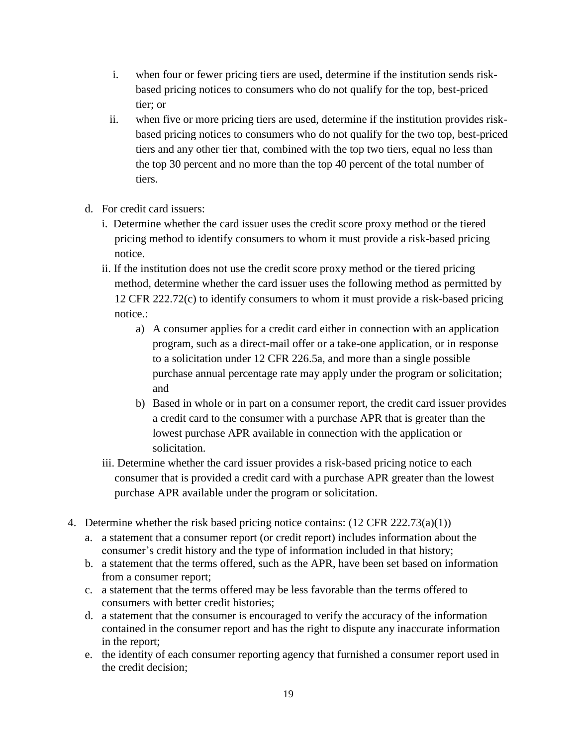- i. when four or fewer pricing tiers are used, determine if the institution sends riskbased pricing notices to consumers who do not qualify for the top, best-priced tier; or
- ii. when five or more pricing tiers are used, determine if the institution provides riskbased pricing notices to consumers who do not qualify for the two top, best-priced tiers and any other tier that, combined with the top two tiers, equal no less than the top 30 percent and no more than the top 40 percent of the total number of tiers.
- d. For credit card issuers:
	- i. Determine whether the card issuer uses the credit score proxy method or the tiered pricing method to identify consumers to whom it must provide a risk-based pricing notice.
	- ii. If the institution does not use the credit score proxy method or the tiered pricing method, determine whether the card issuer uses the following method as permitted by 12 CFR 222.72(c) to identify consumers to whom it must provide a risk-based pricing notice.:
		- a) A consumer applies for a credit card either in connection with an application program, such as a direct-mail offer or a take-one application, or in response to a solicitation under 12 CFR 226.5a, and more than a single possible purchase annual percentage rate may apply under the program or solicitation; and
		- b) Based in whole or in part on a consumer report, the credit card issuer provides a credit card to the consumer with a purchase APR that is greater than the lowest purchase APR available in connection with the application or solicitation.
	- iii. Determine whether the card issuer provides a risk-based pricing notice to each consumer that is provided a credit card with a purchase APR greater than the lowest purchase APR available under the program or solicitation.
- 4. Determine whether the risk based pricing notice contains: (12 CFR 222.73(a)(1))
	- a. a statement that a consumer report (or credit report) includes information about the consumer's credit history and the type of information included in that history;
	- b. a statement that the terms offered, such as the APR, have been set based on information from a consumer report;
	- c. a statement that the terms offered may be less favorable than the terms offered to consumers with better credit histories;
	- d. a statement that the consumer is encouraged to verify the accuracy of the information contained in the consumer report and has the right to dispute any inaccurate information in the report;
	- e. the identity of each consumer reporting agency that furnished a consumer report used in the credit decision;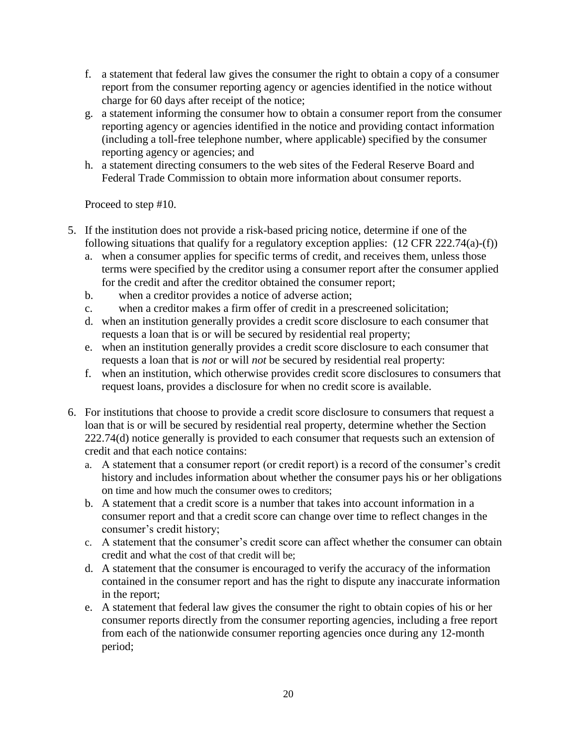- f. a statement that federal law gives the consumer the right to obtain a copy of a consumer report from the consumer reporting agency or agencies identified in the notice without charge for 60 days after receipt of the notice;
- g. a statement informing the consumer how to obtain a consumer report from the consumer reporting agency or agencies identified in the notice and providing contact information (including a toll-free telephone number, where applicable) specified by the consumer reporting agency or agencies; and
- h. a statement directing consumers to the web sites of the Federal Reserve Board and Federal Trade Commission to obtain more information about consumer reports.

Proceed to step #10.

- 5. If the institution does not provide a risk-based pricing notice, determine if one of the following situations that qualify for a regulatory exception applies: (12 CFR 222.74(a)-(f))
	- a. when a consumer applies for specific terms of credit, and receives them, unless those terms were specified by the creditor using a consumer report after the consumer applied for the credit and after the creditor obtained the consumer report;
	- b. when a creditor provides a notice of adverse action;
	- c. when a creditor makes a firm offer of credit in a prescreened solicitation;
	- d. when an institution generally provides a credit score disclosure to each consumer that requests a loan that is or will be secured by residential real property;
	- e. when an institution generally provides a credit score disclosure to each consumer that requests a loan that is *not* or will *not* be secured by residential real property:
	- f. when an institution, which otherwise provides credit score disclosures to consumers that request loans, provides a disclosure for when no credit score is available.
- 6. For institutions that choose to provide a credit score disclosure to consumers that request a loan that is or will be secured by residential real property, determine whether the Section 222.74(d) notice generally is provided to each consumer that requests such an extension of credit and that each notice contains:
	- a. A statement that a consumer report (or credit report) is a record of the consumer's credit history and includes information about whether the consumer pays his or her obligations on time and how much the consumer owes to creditors;
	- b. A statement that a credit score is a number that takes into account information in a consumer report and that a credit score can change over time to reflect changes in the consumer's credit history;
	- c. A statement that the consumer's credit score can affect whether the consumer can obtain credit and what the cost of that credit will be;
	- d. A statement that the consumer is encouraged to verify the accuracy of the information contained in the consumer report and has the right to dispute any inaccurate information in the report;
	- e. A statement that federal law gives the consumer the right to obtain copies of his or her consumer reports directly from the consumer reporting agencies, including a free report from each of the nationwide consumer reporting agencies once during any 12-month period;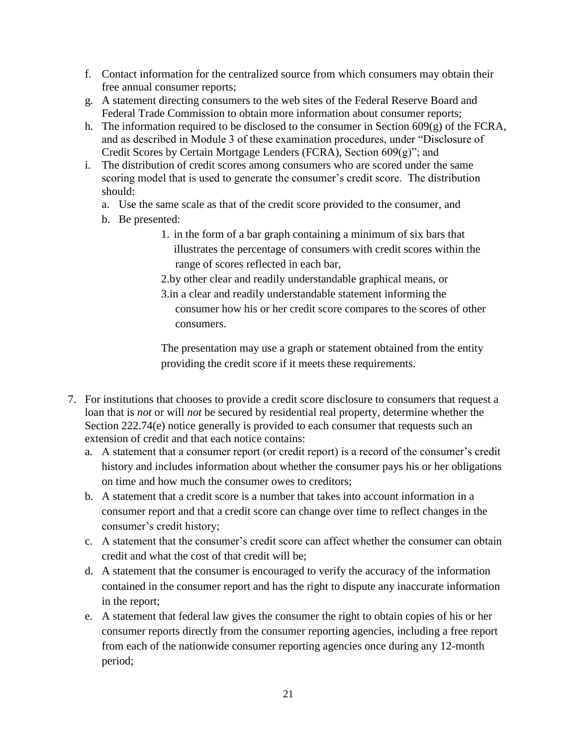- f. Contact information for the centralized source from which consumers may obtain their free annual consumer reports;
- g. A statement directing consumers to the web sites of the Federal Reserve Board and Federal Trade Commission to obtain more information about consumer reports;
- h. The information required to be disclosed to the consumer in Section  $609(g)$  of the FCRA, and as described in Module 3 of these examination procedures, under "Disclosure of Credit Scores by Certain Mortgage Lenders (FCRA), Section 609(g)"; and
- i. The distribution of credit scores among consumers who are scored under the same scoring model that is used to generate the consumer's credit score. The distribution should:
	- a. Use the same scale as that of the credit score provided to the consumer, and
	- b. Be presented:
		- 1. in the form of a bar graph containing a minimum of six bars that illustrates the percentage of consumers with credit scores within the range of scores reflected in each bar,
		- 2.by other clear and readily understandable graphical means, or
		- 3.in a clear and readily understandable statement informing the consumer how his or her credit score compares to the scores of other consumers.

The presentation may use a graph or statement obtained from the entity providing the credit score if it meets these requirements.

- 7. For institutions that chooses to provide a credit score disclosure to consumers that request a loan that is *not* or will *not* be secured by residential real property, determine whether the Section 222.74(e) notice generally is provided to each consumer that requests such an extension of credit and that each notice contains:
	- a. A statement that a consumer report (or credit report) is a record of the consumer's credit history and includes information about whether the consumer pays his or her obligations on time and how much the consumer owes to creditors;
	- b. A statement that a credit score is a number that takes into account information in a consumer report and that a credit score can change over time to reflect changes in the consumer's credit history;
	- c. A statement that the consumer's credit score can affect whether the consumer can obtain credit and what the cost of that credit will be;
	- d. A statement that the consumer is encouraged to verify the accuracy of the information contained in the consumer report and has the right to dispute any inaccurate information in the report;
	- e. A statement that federal law gives the consumer the right to obtain copies of his or her consumer reports directly from the consumer reporting agencies, including a free report from each of the nationwide consumer reporting agencies once during any 12-month period;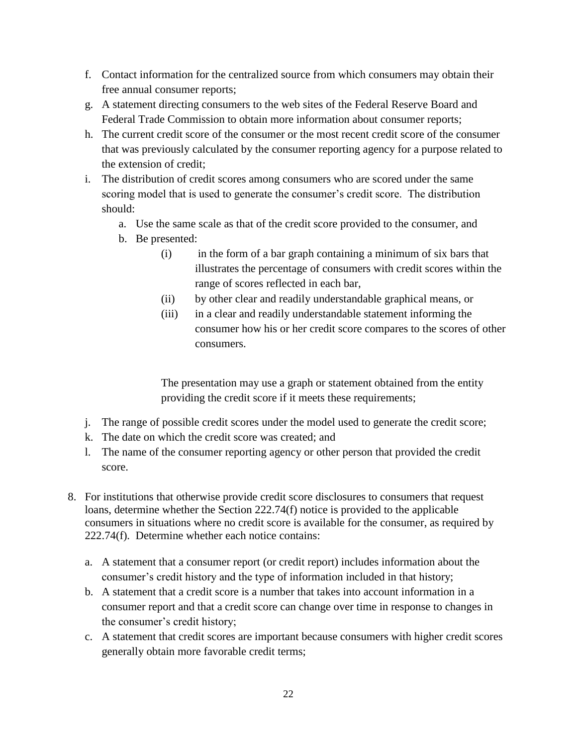- f. Contact information for the centralized source from which consumers may obtain their free annual consumer reports;
- g. A statement directing consumers to the web sites of the Federal Reserve Board and Federal Trade Commission to obtain more information about consumer reports;
- h. The current credit score of the consumer or the most recent credit score of the consumer that was previously calculated by the consumer reporting agency for a purpose related to the extension of credit;
- i. The distribution of credit scores among consumers who are scored under the same scoring model that is used to generate the consumer's credit score. The distribution should:
	- a. Use the same scale as that of the credit score provided to the consumer, and
	- b. Be presented:
		- (i) in the form of a bar graph containing a minimum of six bars that illustrates the percentage of consumers with credit scores within the range of scores reflected in each bar,
		- (ii) by other clear and readily understandable graphical means, or
		- (iii) in a clear and readily understandable statement informing the consumer how his or her credit score compares to the scores of other consumers.

The presentation may use a graph or statement obtained from the entity providing the credit score if it meets these requirements;

- j. The range of possible credit scores under the model used to generate the credit score;
- k. The date on which the credit score was created; and
- l. The name of the consumer reporting agency or other person that provided the credit score.
- 8. For institutions that otherwise provide credit score disclosures to consumers that request loans, determine whether the Section 222.74(f) notice is provided to the applicable consumers in situations where no credit score is available for the consumer, as required by 222.74(f). Determine whether each notice contains:
	- a. A statement that a consumer report (or credit report) includes information about the consumer's credit history and the type of information included in that history;
	- b. A statement that a credit score is a number that takes into account information in a consumer report and that a credit score can change over time in response to changes in the consumer's credit history;
	- c. A statement that credit scores are important because consumers with higher credit scores generally obtain more favorable credit terms;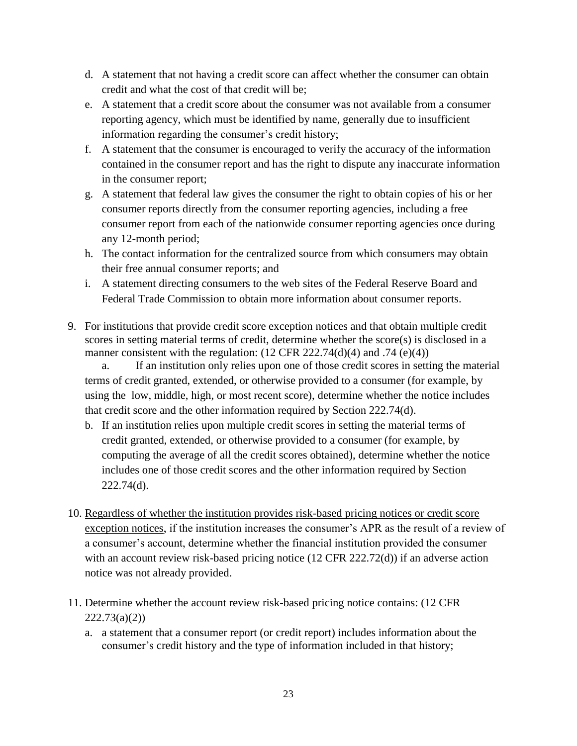- d. A statement that not having a credit score can affect whether the consumer can obtain credit and what the cost of that credit will be;
- e. A statement that a credit score about the consumer was not available from a consumer reporting agency, which must be identified by name, generally due to insufficient information regarding the consumer's credit history;
- f. A statement that the consumer is encouraged to verify the accuracy of the information contained in the consumer report and has the right to dispute any inaccurate information in the consumer report;
- g. A statement that federal law gives the consumer the right to obtain copies of his or her consumer reports directly from the consumer reporting agencies, including a free consumer report from each of the nationwide consumer reporting agencies once during any 12-month period;
- h. The contact information for the centralized source from which consumers may obtain their free annual consumer reports; and
- i. A statement directing consumers to the web sites of the Federal Reserve Board and Federal Trade Commission to obtain more information about consumer reports.
- 9. For institutions that provide credit score exception notices and that obtain multiple credit scores in setting material terms of credit, determine whether the score(s) is disclosed in a manner consistent with the regulation:  $(12 \text{ CFR } 222.74(d)(4) \text{ and } .74 (e)(4))$

a. If an institution only relies upon one of those credit scores in setting the material terms of credit granted, extended, or otherwise provided to a consumer (for example, by using the low, middle, high, or most recent score), determine whether the notice includes that credit score and the other information required by Section 222.74(d).

- b. If an institution relies upon multiple credit scores in setting the material terms of credit granted, extended, or otherwise provided to a consumer (for example, by computing the average of all the credit scores obtained), determine whether the notice includes one of those credit scores and the other information required by Section 222.74(d).
- 10. Regardless of whether the institution provides risk-based pricing notices or credit score exception notices, if the institution increases the consumer's APR as the result of a review of a consumer's account, determine whether the financial institution provided the consumer with an account review risk-based pricing notice (12 CFR 222.72(d)) if an adverse action notice was not already provided.
- 11. Determine whether the account review risk-based pricing notice contains: (12 CFR  $222.73(a)(2)$ 
	- a. a statement that a consumer report (or credit report) includes information about the consumer's credit history and the type of information included in that history;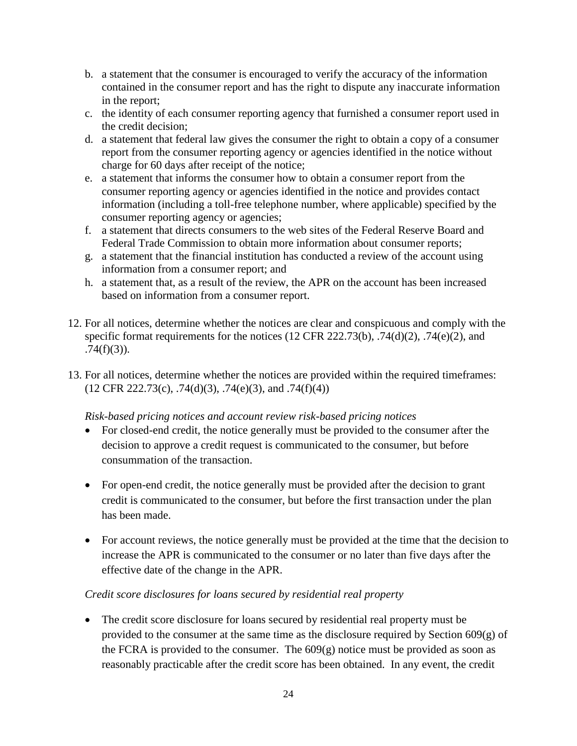- b. a statement that the consumer is encouraged to verify the accuracy of the information contained in the consumer report and has the right to dispute any inaccurate information in the report;
- c. the identity of each consumer reporting agency that furnished a consumer report used in the credit decision;
- d. a statement that federal law gives the consumer the right to obtain a copy of a consumer report from the consumer reporting agency or agencies identified in the notice without charge for 60 days after receipt of the notice;
- e. a statement that informs the consumer how to obtain a consumer report from the consumer reporting agency or agencies identified in the notice and provides contact information (including a toll-free telephone number, where applicable) specified by the consumer reporting agency or agencies;
- f. a statement that directs consumers to the web sites of the Federal Reserve Board and Federal Trade Commission to obtain more information about consumer reports;
- g. a statement that the financial institution has conducted a review of the account using information from a consumer report; and
- h. a statement that, as a result of the review, the APR on the account has been increased based on information from a consumer report.
- 12. For all notices, determine whether the notices are clear and conspicuous and comply with the specific format requirements for the notices (12 CFR 222.73(b), .74(d)(2), .74(e)(2), and  $.74(f)(3)$ ).
- 13. For all notices, determine whether the notices are provided within the required timeframes:  $(12 \text{ CFR } 222.73(c), .74(d)(3), .74(e)(3),$  and  $.74(f)(4))$

### *Risk-based pricing notices and account review risk-based pricing notices*

- For closed-end credit, the notice generally must be provided to the consumer after the decision to approve a credit request is communicated to the consumer, but before consummation of the transaction.
- For open-end credit, the notice generally must be provided after the decision to grant credit is communicated to the consumer, but before the first transaction under the plan has been made.
- For account reviews, the notice generally must be provided at the time that the decision to increase the APR is communicated to the consumer or no later than five days after the effective date of the change in the APR.

### *Credit score disclosures for loans secured by residential real property*

 The credit score disclosure for loans secured by residential real property must be provided to the consumer at the same time as the disclosure required by Section 609(g) of the FCRA is provided to the consumer. The  $609(g)$  notice must be provided as soon as reasonably practicable after the credit score has been obtained. In any event, the credit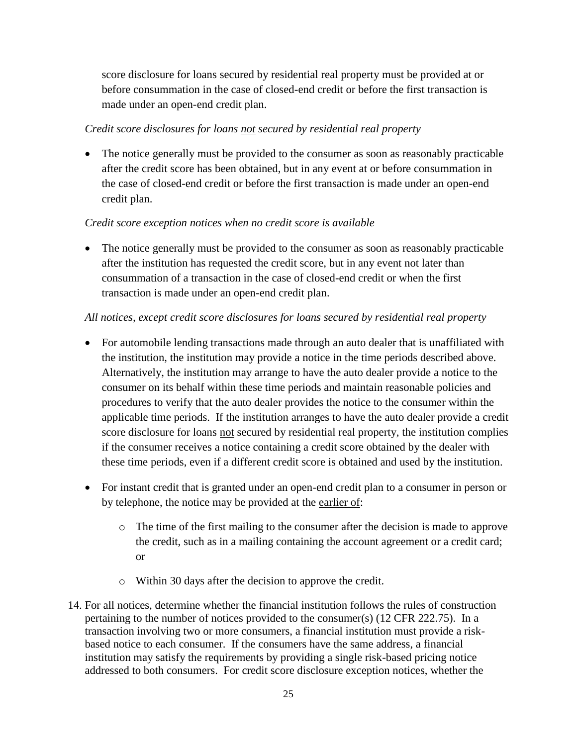score disclosure for loans secured by residential real property must be provided at or before consummation in the case of closed-end credit or before the first transaction is made under an open-end credit plan.

## *Credit score disclosures for loans not secured by residential real property*

• The notice generally must be provided to the consumer as soon as reasonably practicable after the credit score has been obtained, but in any event at or before consummation in the case of closed-end credit or before the first transaction is made under an open-end credit plan.

## *Credit score exception notices when no credit score is available*

• The notice generally must be provided to the consumer as soon as reasonably practicable after the institution has requested the credit score, but in any event not later than consummation of a transaction in the case of closed-end credit or when the first transaction is made under an open-end credit plan.

## *All notices, except credit score disclosures for loans secured by residential real property*

- For automobile lending transactions made through an auto dealer that is unaffiliated with the institution, the institution may provide a notice in the time periods described above. Alternatively, the institution may arrange to have the auto dealer provide a notice to the consumer on its behalf within these time periods and maintain reasonable policies and procedures to verify that the auto dealer provides the notice to the consumer within the applicable time periods. If the institution arranges to have the auto dealer provide a credit score disclosure for loans not secured by residential real property, the institution complies if the consumer receives a notice containing a credit score obtained by the dealer with these time periods, even if a different credit score is obtained and used by the institution.
- For instant credit that is granted under an open-end credit plan to a consumer in person or by telephone, the notice may be provided at the earlier of:
	- o The time of the first mailing to the consumer after the decision is made to approve the credit, such as in a mailing containing the account agreement or a credit card; or
	- o Within 30 days after the decision to approve the credit.
- 14. For all notices, determine whether the financial institution follows the rules of construction pertaining to the number of notices provided to the consumer(s) (12 CFR 222.75). In a transaction involving two or more consumers, a financial institution must provide a riskbased notice to each consumer. If the consumers have the same address, a financial institution may satisfy the requirements by providing a single risk-based pricing notice addressed to both consumers. For credit score disclosure exception notices, whether the